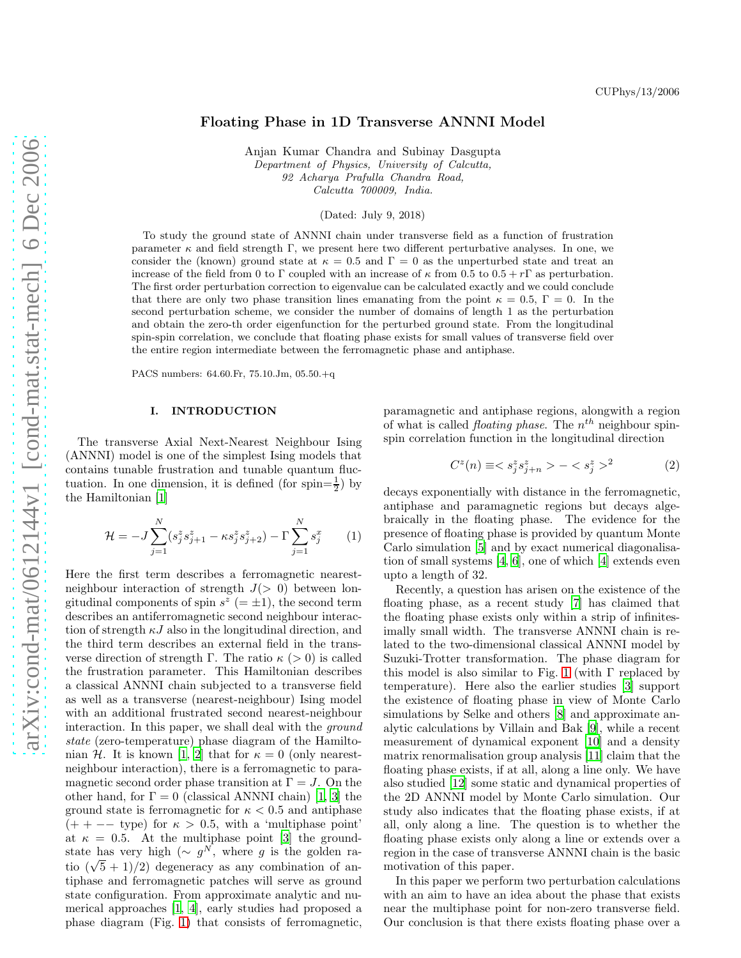## Floating Phase in 1D Transverse ANNNI Model

Anjan Kumar Chandra and Subinay Dasgupta Department of Physics, University of Calcutta, 92 Acharya Prafulla Chandra Road, Calcutta 700009, India.

(Dated: July 9, 2018)

To study the ground state of ANNNI chain under transverse field as a function of frustration parameter  $\kappa$  and field strength Γ, we present here two different perturbative analyses. In one, we consider the (known) ground state at  $\kappa = 0.5$  and  $\Gamma = 0$  as the unperturbed state and treat an increase of the field from 0 to Γ coupled with an increase of  $\kappa$  from 0.5 to 0.5 + rΓ as perturbation. The first order perturbation correction to eigenvalue can be calculated exactly and we could conclude that there are only two phase transition lines emanating from the point  $\kappa = 0.5$ ,  $\Gamma = 0$ . In the second perturbation scheme, we consider the number of domains of length 1 as the perturbation and obtain the zero-th order eigenfunction for the perturbed ground state. From the longitudinal spin-spin correlation, we conclude that floating phase exists for small values of transverse field over the entire region intermediate between the ferromagnetic phase and antiphase.

PACS numbers: 64.60.Fr, 75.10.Jm, 05.50.+q

### I. INTRODUCTION

The transverse Axial Next-Nearest Neighbour Ising (ANNNI) model is one of the simplest Ising models that contains tunable frustration and tunable quantum fluctuation. In one dimension, it is defined (for spin= $\frac{1}{2}$ ) by the Hamiltonian [\[1](#page-9-0)]

$$
\mathcal{H} = -J \sum_{j=1}^{N} (s_j^z s_{j+1}^z - \kappa s_j^z s_{j+2}^z) - \Gamma \sum_{j=1}^{N} s_j^x \qquad (1)
$$

Here the first term describes a ferromagnetic nearestneighbour interaction of strength  $J(> 0)$  between longitudinal components of spin  $s^z$  (=  $\pm$ 1), the second term describes an antiferromagnetic second neighbour interaction of strength  $\kappa J$  also in the longitudinal direction, and the third term describes an external field in the transverse direction of strength Γ. The ratio  $\kappa$  (> 0) is called the frustration parameter. This Hamiltonian describes a classical ANNNI chain subjected to a transverse field as well as a transverse (nearest-neighbour) Ising model with an additional frustrated second nearest-neighbour interaction. In this paper, we shall deal with the *ground* state (zero-temperature) phase diagram of the Hamilto-nian H. It is known [\[1](#page-9-0), [2\]](#page-9-1) that for  $\kappa = 0$  (only nearestneighbour interaction), there is a ferromagnetic to paramagnetic second order phase transition at  $\Gamma = J$ . On the other hand, for  $\Gamma = 0$  (classical ANNNI chain) [\[1,](#page-9-0) [3](#page-9-2)] the ground state is ferromagnetic for  $\kappa < 0.5$  and antiphase  $(++)$  −− type) for  $\kappa > 0.5$ , with a 'multiphase point' at  $\kappa = 0.5$ . At the multiphase point [\[3\]](#page-9-2) the groundstate has very high ( $\sim g^N$ , where g is the golden ratio  $(\sqrt{5} + 1)/2$ ) degeneracy as any combination of antiphase and ferromagnetic patches will serve as ground state configuration. From approximate analytic and numerical approaches [\[1,](#page-9-0) [4\]](#page-9-3), early studies had proposed a phase diagram (Fig. [1\)](#page-1-0) that consists of ferromagnetic,

paramagnetic and antiphase regions, alongwith a region of what is called *floating phase*. The  $n^{th}$  neighbour spinspin correlation function in the longitudinal direction

$$
C^{z}(n) \equiv \langle s_j^{z} s_{j+n}^{z} \rangle - \langle s_j^{z} \rangle^{2}
$$
 (2)

decays exponentially with distance in the ferromagnetic, antiphase and paramagnetic regions but decays algebraically in the floating phase. The evidence for the presence of floating phase is provided by quantum Monte Carlo simulation [\[5](#page-9-4)] and by exact numerical diagonalisation of small systems [\[4,](#page-9-3) [6](#page-10-0)], one of which [\[4](#page-9-3)] extends even upto a length of 32.

Recently, a question has arisen on the existence of the floating phase, as a recent study [\[7\]](#page-10-1) has claimed that the floating phase exists only within a strip of infinitesimally small width. The transverse ANNNI chain is related to the two-dimensional classical ANNNI model by Suzuki-Trotter transformation. The phase diagram for this model is also similar to Fig. [1](#page-1-0) (with  $\Gamma$  replaced by temperature). Here also the earlier studies [\[3\]](#page-9-2) support the existence of floating phase in view of Monte Carlo simulations by Selke and others [\[8](#page-10-2)] and approximate analytic calculations by Villain and Bak [\[9\]](#page-10-3), while a recent measurement of dynamical exponent [\[10](#page-10-4)] and a density matrix renormalisation group analysis [\[11](#page-10-5)] claim that the floating phase exists, if at all, along a line only. We have also studied [\[12\]](#page-10-6) some static and dynamical properties of the 2D ANNNI model by Monte Carlo simulation. Our study also indicates that the floating phase exists, if at all, only along a line. The question is to whether the floating phase exists only along a line or extends over a region in the case of transverse ANNNI chain is the basic motivation of this paper.

In this paper we perform two perturbation calculations with an aim to have an idea about the phase that exists near the multiphase point for non-zero transverse field. Our conclusion is that there exists floating phase over a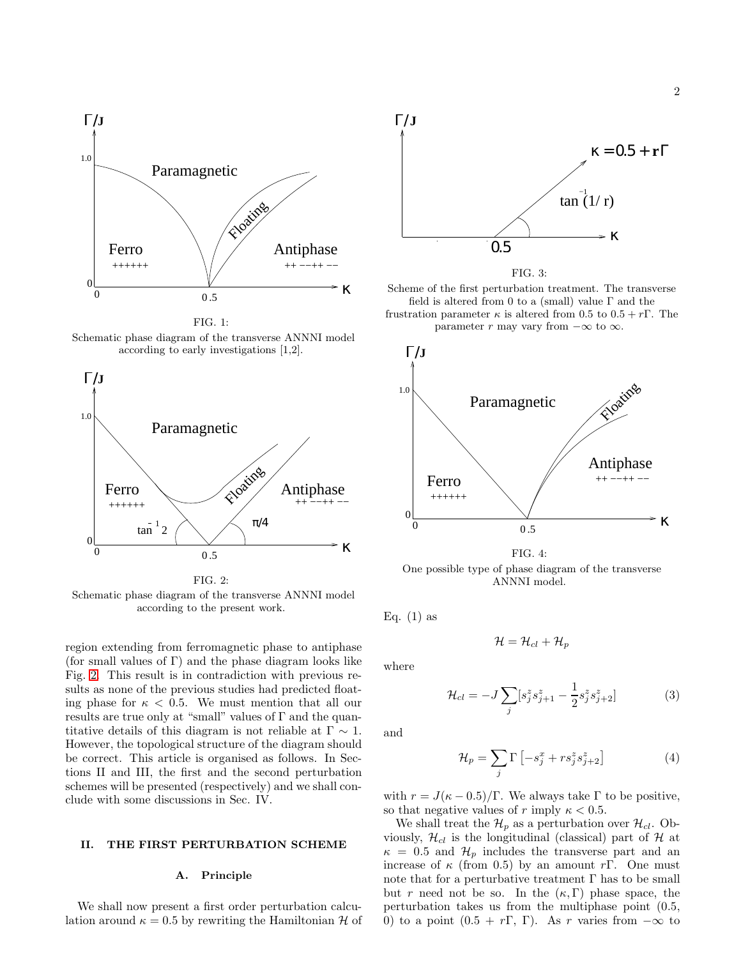

<span id="page-1-0"></span>FIG. 1:

Schematic phase diagram of the transverse ANNNI model according to early investigations [1,2].



FIG. 2: Schematic phase diagram of the transverse ANNNI model according to the present work.

region extending from ferromagnetic phase to antiphase (for small values of  $\Gamma$ ) and the phase diagram looks like Fig. [2.](#page-1-1) This result is in contradiction with previous results as none of the previous studies had predicted floating phase for  $\kappa < 0.5$ . We must mention that all our results are true only at "small" values of  $\Gamma$  and the quantitative details of this diagram is not reliable at  $\Gamma \sim 1$ . However, the topological structure of the diagram should be correct. This article is organised as follows. In Sections II and III, the first and the second perturbation schemes will be presented (respectively) and we shall conclude with some discussions in Sec. IV.

# II. THE FIRST PERTURBATION SCHEME

### A. Principle

We shall now present a first order perturbation calculation around  $\kappa = 0.5$  by rewriting the Hamiltonian H of



<span id="page-1-2"></span>

Scheme of the first perturbation treatment. The transverse field is altered from 0 to a (small) value  $\Gamma$  and the frustration parameter  $\kappa$  is altered from 0.5 to  $0.5 + r\Gamma$ . The





FIG. 4: One possible type of phase diagram of the transverse ANNNI model.

<span id="page-1-1"></span>Eq.  $(1)$  as

<span id="page-1-3"></span>
$$
\mathcal{H} = \mathcal{H}_{cl} + \mathcal{H}_p
$$

where

$$
\mathcal{H}_{cl} = -J \sum_{j} [s_j^z s_{j+1}^z - \frac{1}{2} s_j^z s_{j+2}^z] \tag{3}
$$

and

$$
\mathcal{H}_p = \sum_j \Gamma \left[ -s_j^x + r s_j^z s_{j+2}^z \right] \tag{4}
$$

with  $r = J(\kappa - 0.5)/\Gamma$ . We always take  $\Gamma$  to be positive, so that negative values of r imply  $\kappa < 0.5$ .

We shall treat the  $\mathcal{H}_p$  as a perturbation over  $\mathcal{H}_{cl}$ . Obviously,  $\mathcal{H}_{cl}$  is the longitudinal (classical) part of  $\mathcal{H}$  at  $\kappa = 0.5$  and  $\mathcal{H}_p$  includes the transverse part and an increase of  $\kappa$  (from 0.5) by an amount rΓ. One must note that for a perturbative treatment  $\Gamma$  has to be small but r need not be so. In the  $(\kappa, \Gamma)$  phase space, the perturbation takes us from the multiphase point (0.5, 0) to a point  $(0.5 + r\Gamma, \Gamma)$ . As r varies from  $-\infty$  to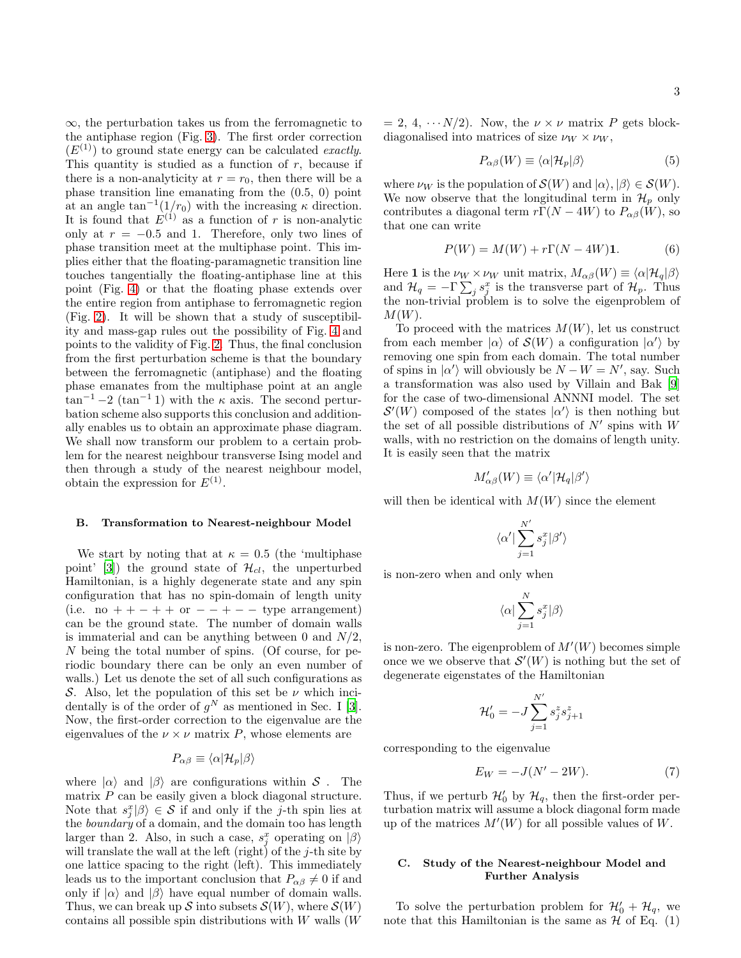$\infty$ , the perturbation takes us from the ferromagnetic to the antiphase region (Fig. [3\)](#page-1-2). The first order correction  $(E<sup>(1)</sup>)$  to ground state energy can be calculated *exactly*. This quantity is studied as a function of  $r$ , because if there is a non-analyticity at  $r = r_0$ , then there will be a phase transition line emanating from the (0.5, 0) point at an angle  $\tan^{-1}(1/r_0)$  with the increasing  $\kappa$  direction. It is found that  $E^{(1)}$  as a function of r is non-analytic only at  $r = -0.5$  and 1. Therefore, only two lines of phase transition meet at the multiphase point. This implies either that the floating-paramagnetic transition line touches tangentially the floating-antiphase line at this point (Fig. [4\)](#page-1-3) or that the floating phase extends over the entire region from antiphase to ferromagnetic region (Fig. [2\)](#page-1-1). It will be shown that a study of susceptibility and mass-gap rules out the possibility of Fig. [4](#page-1-3) and points to the validity of Fig. [2.](#page-1-1) Thus, the final conclusion from the first perturbation scheme is that the boundary between the ferromagnetic (antiphase) and the floating phase emanates from the multiphase point at an angle  $\tan^{-1}$  –2 ( $\tan^{-1}$  1) with the  $\kappa$  axis. The second perturbation scheme also supports this conclusion and additionally enables us to obtain an approximate phase diagram. We shall now transform our problem to a certain problem for the nearest neighbour transverse Ising model and then through a study of the nearest neighbour model, obtain the expression for  $E^{(1)}$ .

#### B. Transformation to Nearest-neighbour Model

We start by noting that at  $\kappa = 0.5$  (the 'multiphase point' [\[3\]](#page-9-2)) the ground state of  $\mathcal{H}_{cl}$ , the unperturbed Hamiltonian, is a highly degenerate state and any spin configuration that has no spin-domain of length unity (i.e. no  $++-++$  or  $--+--$  type arrangement) can be the ground state. The number of domain walls is immaterial and can be anything between 0 and  $N/2$ , N being the total number of spins. (Of course, for periodic boundary there can be only an even number of walls.) Let us denote the set of all such configurations as S. Also, let the population of this set be  $\nu$  which incidentally is of the order of  $g^N$  as mentioned in Sec. I [\[3\]](#page-9-2). Now, the first-order correction to the eigenvalue are the eigenvalues of the  $\nu \times \nu$  matrix P, whose elements are

$$
P_{\alpha\beta} \equiv \langle \alpha | \mathcal{H}_p | \beta \rangle
$$

where  $|\alpha\rangle$  and  $|\beta\rangle$  are configurations within S. The matrix  $P$  can be easily given a block diagonal structure. Note that  $s_j^x | \beta \rangle \in S$  if and only if the *j*-th spin lies at the *boundary* of a domain, and the domain too has length larger than 2. Also, in such a case,  $s_j^x$  operating on  $|\beta\rangle$ will translate the wall at the left (right) of the  $j$ -th site by one lattice spacing to the right (left). This immediately leads us to the important conclusion that  $P_{\alpha\beta} \neq 0$  if and only if  $|\alpha\rangle$  and  $|\beta\rangle$  have equal number of domain walls. Thus, we can break up S into subsets  $\mathcal{S}(W)$ , where  $\mathcal{S}(W)$ contains all possible spin distributions with  $W$  walls  $(W$ 

 $= 2, 4, \cdots N/2$ . Now, the  $\nu \times \nu$  matrix P gets blockdiagonalised into matrices of size  $\nu_W \times \nu_W$ ,

$$
P_{\alpha\beta}(W) \equiv \langle \alpha | \mathcal{H}_p | \beta \rangle \tag{5}
$$

where  $\nu_W$  is the population of  $\mathcal{S}(W)$  and  $|\alpha\rangle, |\beta\rangle \in \mathcal{S}(W)$ . We now observe that the longitudinal term in  $\mathcal{H}_p$  only contributes a diagonal term  $r\Gamma(N-4W)$  to  $P_{\alpha\beta}(W)$ , so that one can write

$$
P(W) = M(W) + r\Gamma(N - 4W)\mathbf{1}.
$$
 (6)

Here 1 is the  $\nu_W \times \nu_W$  unit matrix,  $M_{\alpha\beta}(W) \equiv \langle \alpha | \mathcal{H}_q | \beta \rangle$ and  $\mathcal{H}_q = -\Gamma \sum_j s_j^x$  is the transverse part of  $\mathcal{H}_p$ . Thus the non-trivial problem is to solve the eigenproblem of  $M(W)$ .

To proceed with the matrices  $M(W)$ , let us construct from each member  $|\alpha\rangle$  of  $\mathcal{S}(W)$  a configuration  $|\alpha'\rangle$  by removing one spin from each domain. The total number of spins in  $|\alpha'\rangle$  will obviously be  $N - W = N'$ , say. Such a transformation was also used by Villain and Bak [\[9](#page-10-3)] for the case of two-dimensional ANNNI model. The set  $\mathcal{S}'(W)$  composed of the states  $|\alpha'\rangle$  is then nothing but the set of all possible distributions of  $N'$  spins with  $W$ walls, with no restriction on the domains of length unity. It is easily seen that the matrix

$$
M'_{\alpha\beta}(W) \equiv \langle \alpha' | \mathcal{H}_q | \beta' \rangle
$$

will then be identical with  $M(W)$  since the element

$$
\langle\alpha'|\sum_{j=1}^{N'}s_j^x|\beta'\rangle
$$

is non-zero when and only when

$$
\langle \alpha|\sum_{j=1}^N s_j^x|\beta\rangle
$$

is non-zero. The eigenproblem of  $M'(W)$  becomes simple once we we observe that  $\mathcal{S}'(W)$  is nothing but the set of degenerate eigenstates of the Hamiltonian

$$
\mathcal{H}_0'=-J\sum_{j=1}^{N'} s_j^z s_{j+1}^z
$$

corresponding to the eigenvalue

$$
E_W = -J(N' - 2W). \tag{7}
$$

Thus, if we perturb  $\mathcal{H}'_0$  by  $\mathcal{H}_q$ , then the first-order perturbation matrix will assume a block diagonal form made up of the matrices  $M'(W)$  for all possible values of W.

### C. Study of the Nearest-neighbour Model and Further Analysis

To solve the perturbation problem for  $\mathcal{H}'_0 + \mathcal{H}_q$ , we note that this Hamiltonian is the same as  $\mathcal H$  of Eq. (1)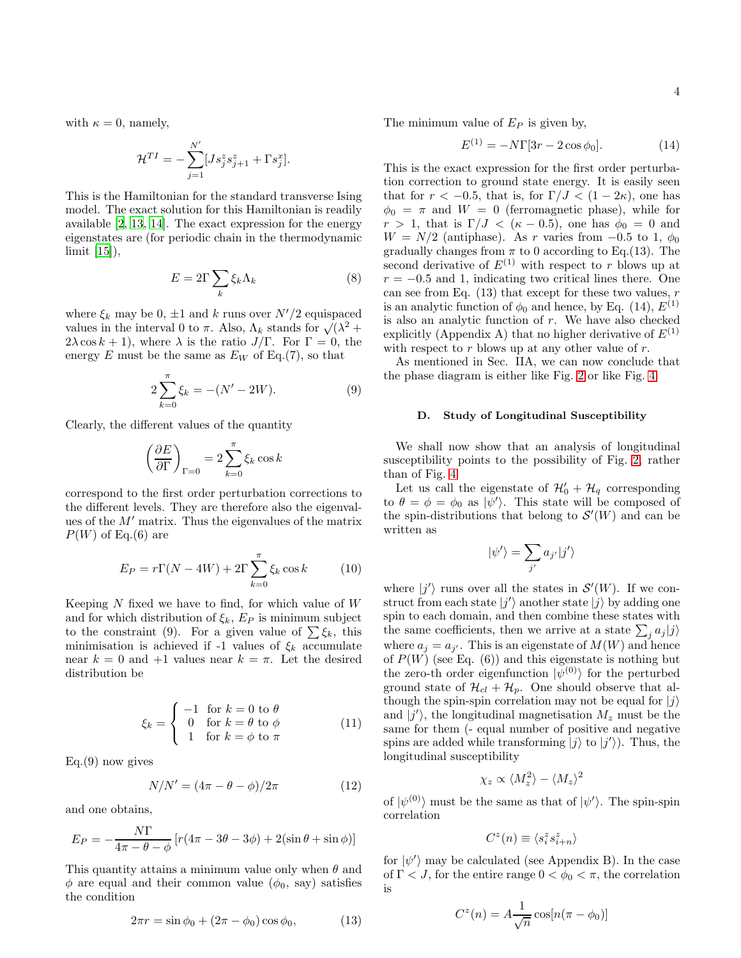with  $\kappa = 0$ , namely,

$$
\mathcal{H}^{TI} = -\sum_{j=1}^{N'} [Js_j^z s_{j+1}^z + \Gamma s_j^x].
$$

This is the Hamiltonian for the standard transverse Ising model. The exact solution for this Hamiltonian is readily available [\[2,](#page-9-1) [13,](#page-10-7) [14\]](#page-10-8). The exact expression for the energy eigenstates are (for periodic chain in the thermodynamic limit [\[15\]](#page-10-9)),

$$
E = 2\Gamma \sum_{k} \xi_{k} \Lambda_{k} \tag{8}
$$

where  $\xi_k$  may be 0,  $\pm 1$  and k runs over  $N'/2$  equispaced values in the interval 0 to  $\pi$ . Also,  $\Lambda_k$  stands for  $\sqrt{(\lambda^2 + \lambda^2)^2}$  $2\lambda \cos k + 1$ , where  $\lambda$  is the ratio  $J/\Gamma$ . For  $\Gamma = 0$ , the energy E must be the same as  $E_W$  of Eq.(7), so that

$$
2\sum_{k=0}^{\pi} \xi_k = -(N' - 2W). \tag{9}
$$

Clearly, the different values of the quantity

$$
\left(\frac{\partial E}{\partial \Gamma}\right)_{\Gamma=0} = 2 \sum_{k=0}^{\pi} \xi_k \cos k
$$

correspond to the first order perturbation corrections to the different levels. They are therefore also the eigenvalues of the M′ matrix. Thus the eigenvalues of the matrix  $P(W)$  of Eq.(6) are

$$
E_P = r\Gamma(N - 4W) + 2\Gamma \sum_{k=0}^{\pi} \xi_k \cos k \tag{10}
$$

Keeping  $N$  fixed we have to find, for which value of  $W$ and for which distribution of  $\xi_k$ ,  $E_P$  is minimum subject to the constraint (9). For a given value of  $\sum \xi_k$ , this minimisation is achieved if -1 values of  $\xi_k$  accumulate near  $k = 0$  and  $+1$  values near  $k = \pi$ . Let the desired distribution be

$$
\xi_k = \begin{cases}\n-1 & \text{for } k = 0 \text{ to } \theta \\
0 & \text{for } k = \theta \text{ to } \phi \\
1 & \text{for } k = \phi \text{ to } \pi\n\end{cases}
$$
\n(11)

 $Eq.(9)$  now gives

$$
N/N' = (4\pi - \theta - \phi)/2\pi
$$
 (12)

and one obtains,

$$
E_P = -\frac{N\Gamma}{4\pi - \theta - \phi} \left[ r(4\pi - 3\theta - 3\phi) + 2(\sin\theta + \sin\phi) \right]
$$

This quantity attains a minimum value only when  $\theta$  and  $\phi$  are equal and their common value  $(\phi_0, \text{ say})$  satisfies the condition

$$
2\pi r = \sin\phi_0 + (2\pi - \phi_0)\cos\phi_0, \qquad (13)
$$

The minimum value of  $E_P$  is given by,

$$
E^{(1)} = -N\Gamma[3r - 2\cos\phi_0].
$$
 (14)

This is the exact expression for the first order perturbation correction to ground state energy. It is easily seen that for  $r < -0.5$ , that is, for  $\Gamma/J < (1 - 2\kappa)$ , one has  $\phi_0 = \pi$  and  $W = 0$  (ferromagnetic phase), while for  $r > 1$ , that is  $\Gamma/J < (\kappa - 0.5)$ , one has  $\phi_0 = 0$  and  $W = N/2$  (antiphase). As r varies from -0.5 to 1,  $\phi_0$ gradually changes from  $\pi$  to 0 according to Eq.(13). The second derivative of  $E^{(1)}$  with respect to r blows up at  $r = -0.5$  and 1, indicating two critical lines there. One can see from Eq.  $(13)$  that except for these two values, r is an analytic function of  $\phi_0$  and hence, by Eq. (14),  $E^{(1)}$ is also an analytic function of r. We have also checked explicitly (Appendix A) that no higher derivative of  $E^{(1)}$ with respect to  $r$  blows up at any other value of  $r$ .

As mentioned in Sec. IIA, we can now conclude that the phase diagram is either like Fig. [2](#page-1-1) or like Fig. [4.](#page-1-3)

#### D. Study of Longitudinal Susceptibility

We shall now show that an analysis of longitudinal susceptibility points to the possibility of Fig. [2,](#page-1-1) rather than of Fig. [4.](#page-1-3)

Let us call the eigenstate of  $\mathcal{H}'_0 + \mathcal{H}_q$  corresponding to  $\theta = \phi = \phi_0$  as  $|\psi'\rangle$ . This state will be composed of the spin-distributions that belong to  $\mathcal{S}'(W)$  and can be written as

$$
\psi'\rangle=\sum_{j'}a_{j'}|j'\rangle
$$

 $\|$ 

where  $|j'\rangle$  runs over all the states in  $\mathcal{S}'(W)$ . If we construct from each state  $|j'\rangle$  another state  $|j\rangle$  by adding one spin to each domain, and then combine these states with the same coefficients, then we arrive at a state  $\sum_j a_j |j\rangle$ where  $a_j = a_{j'}$ . This is an eigenstate of  $M(W)$  and hence of  $P(W)$  (see Eq. (6)) and this eigenstate is nothing but the zero-th order eigenfunction  $|\psi^{(0)}\rangle$  for the perturbed ground state of  $\mathcal{H}_{cl} + \mathcal{H}_p$ . One should observe that although the spin-spin correlation may not be equal for  $|j\rangle$ and  $|j'\rangle$ , the longitudinal magnetisation  $M_z$  must be the same for them (- equal number of positive and negative spins are added while transforming  $|j\rangle$  to  $|j'\rangle$ ). Thus, the longitudinal susceptibility

$$
\chi_z \propto \langle M_z^2 \rangle - \langle M_z \rangle^2
$$

of  $|\psi^{(0)}\rangle$  must be the same as that of  $|\psi'\rangle$ . The spin-spin correlation

$$
C^z(n) \equiv \langle s_i^z s_{i+n}^z \rangle
$$

for  $|\psi'\rangle$  may be calculated (see Appendix B). In the case of  $\Gamma < J$ , for the entire range  $0 < \phi_0 < \pi$ , the correlation is

$$
C^{z}(n) = A \frac{1}{\sqrt{n}} \cos[n(\pi - \phi_0)]
$$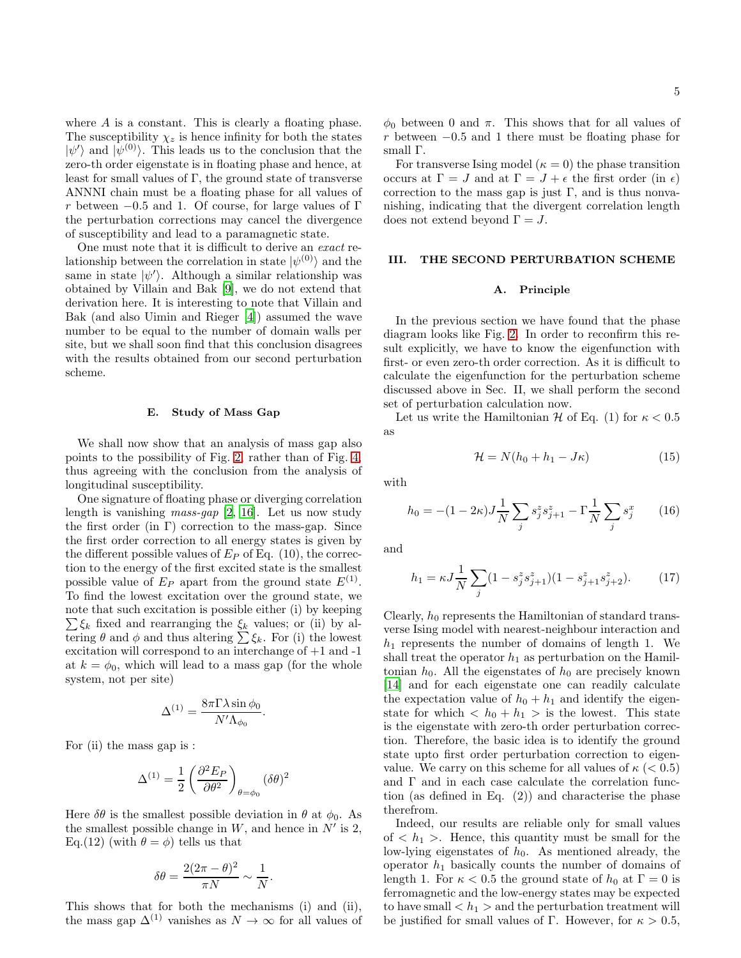where  $A$  is a constant. This is clearly a floating phase. The susceptibility  $\chi_z$  is hence infinity for both the states  $|\psi'\rangle$  and  $|\psi^{(0)}\rangle$ . This leads us to the conclusion that the zero-th order eigenstate is in floating phase and hence, at least for small values of  $\Gamma$ , the ground state of transverse ANNNI chain must be a floating phase for all values of r between  $-0.5$  and 1. Of course, for large values of  $\Gamma$ the perturbation corrections may cancel the divergence of susceptibility and lead to a paramagnetic state.

One must note that it is difficult to derive an exact relationship between the correlation in state  $|\psi^{(0)}\rangle$  and the same in state  $|\psi'\rangle$ . Although a similar relationship was obtained by Villain and Bak [\[9](#page-10-3)], we do not extend that derivation here. It is interesting to note that Villain and Bak (and also Uimin and Rieger [\[4](#page-9-3)]) assumed the wave number to be equal to the number of domain walls per site, but we shall soon find that this conclusion disagrees with the results obtained from our second perturbation scheme.

### E. Study of Mass Gap

We shall now show that an analysis of mass gap also points to the possibility of Fig. [2,](#page-1-1) rather than of Fig. [4,](#page-1-3) thus agreeing with the conclusion from the analysis of longitudinal susceptibility.

One signature of floating phase or diverging correlation length is vanishing *mass-gap* [\[2](#page-9-1), [16](#page-10-10)]. Let us now study the first order (in  $\Gamma$ ) correction to the mass-gap. Since the first order correction to all energy states is given by the different possible values of  $E_P$  of Eq. (10), the correction to the energy of the first excited state is the smallest possible value of  $E_P$  apart from the ground state  $E^{(1)}$ . To find the lowest excitation over the ground state, we note that such excitation is possible either (i) by keeping  $\sum \xi_k$  fixed and rearranging the  $\xi_k$  values; or (ii) by altering  $\theta$  and  $\phi$  and thus altering  $\sum \xi_k$ . For (i) the lowest excitation will correspond to an interchange of +1 and -1 at  $k = \phi_0$ , which will lead to a mass gap (for the whole system, not per site)

$$
\Delta^{(1)} = \frac{8\pi\Gamma\lambda\sin\phi_0}{N'\Lambda_{\phi_0}}.
$$

For (ii) the mass gap is :

$$
\Delta^{(1)} = \frac{1}{2} \left( \frac{\partial^2 E_P}{\partial \theta^2} \right)_{\theta = \phi_0} (\delta \theta)^2
$$

Here  $\delta\theta$  is the smallest possible deviation in  $\theta$  at  $\phi_0$ . As the smallest possible change in  $W$ , and hence in  $N'$  is 2, Eq.(12) (with  $\theta = \phi$ ) tells us that

$$
\delta\theta = \frac{2(2\pi - \theta)^2}{\pi N} \sim \frac{1}{N}
$$

.

This shows that for both the mechanisms (i) and (ii), the mass gap  $\Delta^{(1)}$  vanishes as  $N \to \infty$  for all values of

 $\phi_0$  between 0 and  $\pi$ . This shows that for all values of r between −0.5 and 1 there must be floating phase for small Γ.

For transverse Ising model ( $\kappa = 0$ ) the phase transition occurs at  $\Gamma = J$  and at  $\Gamma = J + \epsilon$  the first order (in  $\epsilon$ ) correction to the mass gap is just  $\Gamma$ , and is thus nonvanishing, indicating that the divergent correlation length does not extend beyond  $\Gamma = J$ .

### III. THE SECOND PERTURBATION SCHEME

#### A. Principle

In the previous section we have found that the phase diagram looks like Fig. [2.](#page-1-1) In order to reconfirm this result explicitly, we have to know the eigenfunction with first- or even zero-th order correction. As it is difficult to calculate the eigenfunction for the perturbation scheme discussed above in Sec. II, we shall perform the second set of perturbation calculation now.

Let us write the Hamiltonian  $\mathcal H$  of Eq. (1) for  $\kappa < 0.5$ as

$$
\mathcal{H} = N(h_0 + h_1 - J\kappa) \tag{15}
$$

with

$$
h_0 = -(1 - 2\kappa)J\frac{1}{N}\sum_j s_j^z s_{j+1}^z - \Gamma\frac{1}{N}\sum_j s_j^x \qquad (16)
$$

and

$$
h_1 = \kappa J \frac{1}{N} \sum_j (1 - s_j^z s_{j+1}^z)(1 - s_{j+1}^z s_{j+2}^z). \tag{17}
$$

Clearly,  $h_0$  represents the Hamiltonian of standard transverse Ising model with nearest-neighbour interaction and  $h_1$  represents the number of domains of length 1. We shall treat the operator  $h_1$  as perturbation on the Hamiltonian  $h_0$ . All the eigenstates of  $h_0$  are precisely known [\[14\]](#page-10-8) and for each eigenstate one can readily calculate the expectation value of  $h_0 + h_1$  and identify the eigenstate for which  $\langle h_0 + h_1 \rangle$  is the lowest. This state is the eigenstate with zero-th order perturbation correction. Therefore, the basic idea is to identify the ground state upto first order perturbation correction to eigenvalue. We carry on this scheme for all values of  $\kappa$  ( $< 0.5$ ) and  $\Gamma$  and in each case calculate the correlation function (as defined in Eq. (2)) and characterise the phase therefrom.

Indeed, our results are reliable only for small values of  $\langle h_1 \rangle$ . Hence, this quantity must be small for the low-lying eigenstates of  $h_0$ . As mentioned already, the operator  $h_1$  basically counts the number of domains of length 1. For  $\kappa < 0.5$  the ground state of  $h_0$  at  $\Gamma = 0$  is ferromagnetic and the low-energy states may be expected to have small  $\langle h_1 \rangle$  and the perturbation treatment will be justified for small values of Γ. However, for  $\kappa > 0.5$ ,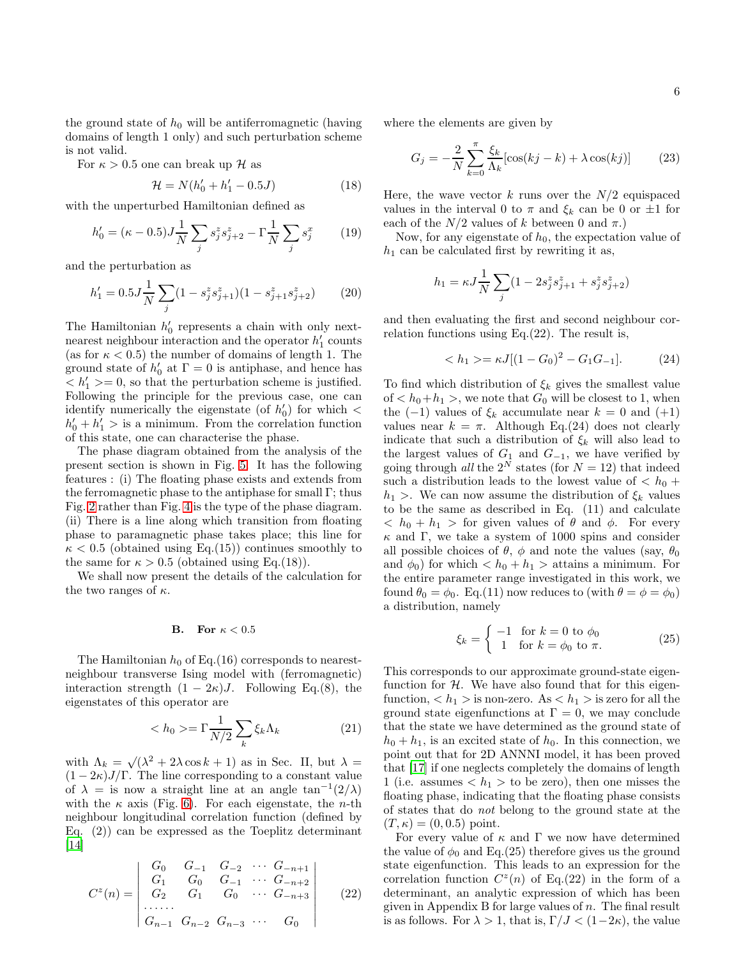the ground state of  $h_0$  will be antiferromagnetic (having domains of length 1 only) and such perturbation scheme is not valid.

For  $\kappa > 0.5$  one can break up  $\mathcal H$  as

$$
\mathcal{H} = N(h'_0 + h'_1 - 0.5J) \tag{18}
$$

with the unperturbed Hamiltonian defined as

$$
h'_0 = (\kappa - 0.5)J\frac{1}{N}\sum_j s_j^z s_{j+2}^z - \Gamma\frac{1}{N}\sum_j s_j^x \qquad (19)
$$

and the perturbation as

$$
h'_1 = 0.5J\frac{1}{N}\sum_j(1 - s_j^z s_{j+1}^z)(1 - s_{j+1}^z s_{j+2}^z)
$$
 (20)

The Hamiltonian  $h'_0$  represents a chain with only nextnearest neighbour interaction and the operator  $h'_1$  counts (as for  $\kappa < 0.5$ ) the number of domains of length 1. The ground state of  $h'_0$  at  $\Gamma = 0$  is antiphase, and hence has  $\leq h'_1 \geq 0$ , so that the perturbation scheme is justified. Following the principle for the previous case, one can identify numerically the eigenstate (of  $h'_0$ ) for which <  $h'_0 + h'_1 >$  is a minimum. From the correlation function of this state, one can characterise the phase.

The phase diagram obtained from the analysis of the present section is shown in Fig. [5.](#page-7-0) It has the following features : (i) The floating phase exists and extends from the ferromagnetic phase to the antiphase for small  $\Gamma$ ; thus Fig. [2](#page-1-1) rather than Fig. [4](#page-1-3) is the type of the phase diagram. (ii) There is a line along which transition from floating phase to paramagnetic phase takes place; this line for  $\kappa < 0.5$  (obtained using Eq.(15)) continues smoothly to the same for  $\kappa > 0.5$  (obtained using Eq.(18)).

We shall now present the details of the calculation for the two ranges of  $\kappa$ .

# B. For  $\kappa < 0.5$

The Hamiltonian  $h_0$  of Eq.(16) corresponds to nearestneighbour transverse Ising model with (ferromagnetic) interaction strength  $(1 - 2\kappa)J$ . Following Eq.(8), the eigenstates of this operator are

$$
\langle h_0 \rangle = \Gamma \frac{1}{N/2} \sum_k \xi_k \Lambda_k \tag{21}
$$

with  $\Lambda_k = \sqrt{(\lambda^2 + 2\lambda \cos k + 1)}$  as in Sec. II, but  $\lambda =$  $(1 - 2\kappa)J/\Gamma$ . The line corresponding to a constant value of  $\lambda = i$  now a straight line at an angle tan<sup>-1</sup>(2/ $\lambda$ ) with the  $\kappa$  axis (Fig. [6\)](#page-7-1). For each eigenstate, the *n*-th neighbour longitudinal correlation function (defined by Eq. (2)) can be expressed as the Toeplitz determinant  $\vert 14 \vert$ 

$$
C^{z}(n) = \begin{vmatrix} G_0 & G_{-1} & G_{-2} & \cdots & G_{-n+1} \\ G_1 & G_0 & G_{-1} & \cdots & G_{-n+2} \\ G_2 & G_1 & G_0 & \cdots & G_{-n+3} \\ \cdots & \cdots & \cdots & \cdots & \cdots \\ G_{n-1} & G_{n-2} & G_{n-3} & \cdots & G_0 \end{vmatrix}
$$
 (22)

where the elements are given by

$$
G_j = -\frac{2}{N} \sum_{k=0}^{\pi} \frac{\xi_k}{\Lambda_k} [\cos(kj - k) + \lambda \cos(kj)] \tag{23}
$$

Here, the wave vector  $k$  runs over the  $N/2$  equispaced values in the interval 0 to  $\pi$  and  $\xi_k$  can be 0 or  $\pm 1$  for each of the  $N/2$  values of k between 0 and  $\pi$ .)

Now, for any eigenstate of  $h_0$ , the expectation value of  $h_1$  can be calculated first by rewriting it as,

$$
h_1 = \kappa J \frac{1}{N} \sum_j (1 - 2 s_j^z s_{j+1}^z + s_j^z s_{j+2}^z)
$$

and then evaluating the first and second neighbour correlation functions using Eq.(22). The result is,

$$
\langle h_1 \rangle = \kappa J [(1 - G_0)^2 - G_1 G_{-1}]. \tag{24}
$$

To find which distribution of  $\xi_k$  gives the smallest value of  $\langle h_0+h_1\rangle$ , we note that  $G_0$  will be closest to 1, when the  $(-1)$  values of  $\xi_k$  accumulate near  $k = 0$  and  $(+1)$ values near  $k = \pi$ . Although Eq.(24) does not clearly indicate that such a distribution of  $\xi_k$  will also lead to the largest values of  $G_1$  and  $G_{-1}$ , we have verified by going through all the  $2^N$  states (for  $N = 12$ ) that indeed such a distribution leads to the lowest value of  $\langle h_0 + h_1 \rangle$  $h_1$  >. We can now assume the distribution of  $\xi_k$  values to be the same as described in Eq. (11) and calculate  $< h_0 + h_1 >$  for given values of  $\theta$  and  $\phi$ . For every  $\kappa$  and Γ, we take a system of 1000 spins and consider all possible choices of  $\theta$ ,  $\phi$  and note the values (say,  $\theta_0$ ) and  $\phi_0$ ) for which  $\langle h_0 + h_1 \rangle$  attains a minimum. For the entire parameter range investigated in this work, we found  $\theta_0 = \phi_0$ . Eq.(11) now reduces to (with  $\theta = \phi = \phi_0$ ) a distribution, namely

$$
\xi_k = \begin{cases}\n-1 & \text{for } k = 0 \text{ to } \phi_0 \\
1 & \text{for } k = \phi_0 \text{ to } \pi.\n\end{cases}
$$
\n(25)

This corresponds to our approximate ground-state eigenfunction for  $H$ . We have also found that for this eigenfunction,  $\langle h_1 \rangle$  is non-zero. As  $\langle h_1 \rangle$  is zero for all the ground state eigenfunctions at  $\Gamma = 0$ , we may conclude that the state we have determined as the ground state of  $h_0 + h_1$ , is an excited state of  $h_0$ . In this connection, we point out that for 2D ANNNI model, it has been proved that [\[17\]](#page-10-11) if one neglects completely the domains of length 1 (i.e. assumes  $\langle h_1 \rangle$  to be zero), then one misses the floating phase, indicating that the floating phase consists of states that do not belong to the ground state at the  $(T, \kappa) = (0, 0.5)$  point.

For every value of  $\kappa$  and  $\Gamma$  we now have determined the value of  $\phi_0$  and Eq.(25) therefore gives us the ground state eigenfunction. This leads to an expression for the correlation function  $C^z(n)$  of Eq.(22) in the form of a determinant, an analytic expression of which has been given in Appendix B for large values of  $n$ . The final result is as follows. For  $\lambda > 1$ , that is,  $\Gamma/J < (1-2\kappa)$ , the value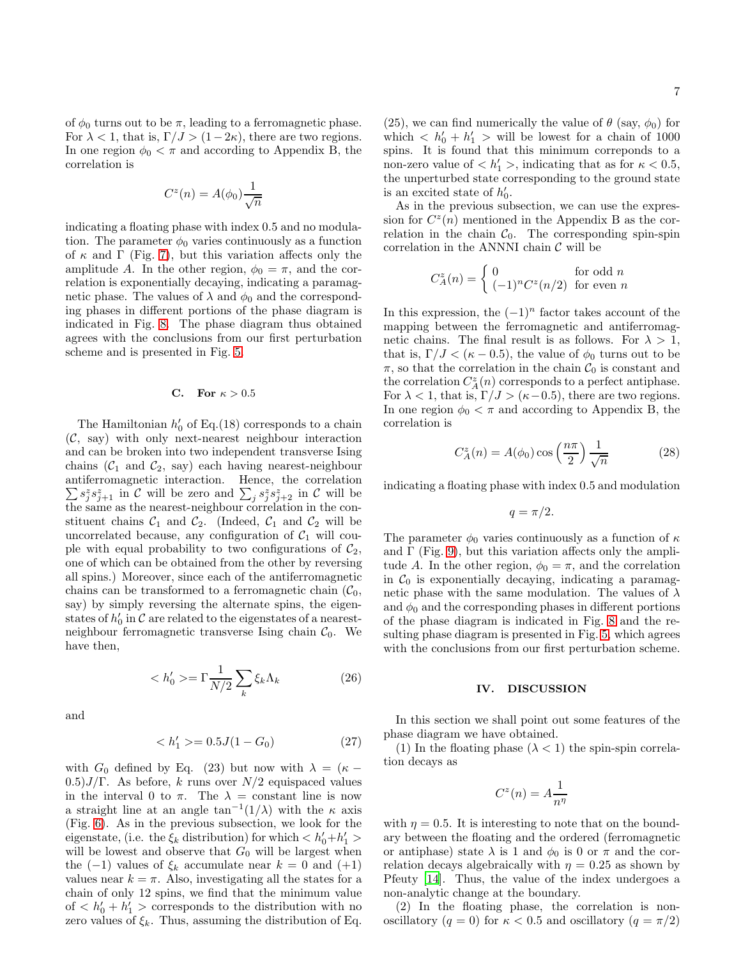of  $\phi_0$  turns out to be  $\pi$ , leading to a ferromagnetic phase. For  $\lambda < 1$ , that is,  $\Gamma/J > (1-2\kappa)$ , there are two regions. In one region  $\phi_0 < \pi$  and according to Appendix B, the correlation is

$$
C^z(n) = A(\phi_0) \frac{1}{\sqrt{n}}
$$

indicating a floating phase with index 0.5 and no modulation. The parameter  $\phi_0$  varies continuously as a function of  $\kappa$  and  $\Gamma$  (Fig. [7\)](#page-7-2), but this variation affects only the amplitude A. In the other region,  $\phi_0 = \pi$ , and the correlation is exponentially decaying, indicating a paramagnetic phase. The values of  $\lambda$  and  $\phi_0$  and the corresponding phases in different portions of the phase diagram is indicated in Fig. [8.](#page-7-3) The phase diagram thus obtained agrees with the conclusions from our first perturbation scheme and is presented in Fig. [5.](#page-7-0)

## C. For  $\kappa > 0.5$

The Hamiltonian  $h'_0$  of Eq.(18) corresponds to a chain  $(C, say)$  with only next-nearest neighbour interaction and can be broken into two independent transverse Ising chains  $(C_1 \text{ and } C_2 \text{, say})$  each having nearest-neighbour antiferromagnetic interaction. Hence, the correlation  $\sum_j s_j^z s_{j+1}^z$  in C will be zero and  $\sum_j s_j^z s_{j+2}^z$  in C will be the same as the nearest-neighbour correlation in the constituent chains  $C_1$  and  $C_2$ . (Indeed,  $C_1$  and  $C_2$  will be uncorrelated because, any configuration of  $C_1$  will couple with equal probability to two configurations of  $\mathcal{C}_2$ , one of which can be obtained from the other by reversing all spins.) Moreover, since each of the antiferromagnetic chains can be transformed to a ferromagnetic chain  $(\mathcal{C}_0,$ say) by simply reversing the alternate spins, the eigenstates of  $h'_0$  in  $\mathcal C$  are related to the eigenstates of a nearestneighbour ferromagnetic transverse Ising chain  $C_0$ . We have then,

$$
\langle h_0' \rangle = \Gamma \frac{1}{N/2} \sum_k \xi_k \Lambda_k \tag{26}
$$

and

$$
\langle h_1' \rangle = 0.5J(1 - G_0) \tag{27}
$$

with  $G_0$  defined by Eq. (23) but now with  $\lambda = (\kappa (0.5)J/\Gamma$ . As before, k runs over  $N/2$  equispaced values in the interval 0 to  $\pi$ . The  $\lambda =$  constant line is now a straight line at an angle  $\tan^{-1}(1/\lambda)$  with the  $\kappa$  axis (Fig. [6\)](#page-7-1). As in the previous subsection, we look for the eigenstate, (i.e. the  $\xi_k$  distribution) for which  $\langle h'_0 + h'_1 \rangle$ will be lowest and observe that  $G_0$  will be largest when the  $(-1)$  values of  $\xi_k$  accumulate near  $k = 0$  and  $(+1)$ values near  $k = \pi$ . Also, investigating all the states for a chain of only 12 spins, we find that the minimum value of  $\langle h'_0 + h'_1 \rangle$  corresponds to the distribution with no zero values of  $\xi_k$ . Thus, assuming the distribution of Eq.

7

(25), we can find numerically the value of  $\theta$  (say,  $\phi_0$ ) for which  $\langle h'_0 + h'_1 \rangle$  will be lowest for a chain of 1000 spins. It is found that this minimum correponds to a non-zero value of  $\langle h'_1 \rangle$ , indicating that as for  $\kappa \langle 0.5$ , the unperturbed state corresponding to the ground state is an excited state of  $h'_0$ .

As in the previous subsection, we can use the expression for  $C^z(n)$  mentioned in the Appendix B as the correlation in the chain  $C_0$ . The corresponding spin-spin correlation in the ANNNI chain  $\mathcal C$  will be

$$
C_A^z(n) = \begin{cases} 0 & \text{for odd } n \\ (-1)^n C^z(n/2) & \text{for even } n \end{cases}
$$

In this expression, the  $(-1)^n$  factor takes account of the mapping between the ferromagnetic and antiferromagnetic chains. The final result is as follows. For  $\lambda > 1$ , that is,  $\Gamma/J < (\kappa - 0.5)$ , the value of  $\phi_0$  turns out to be  $\pi$ , so that the correlation in the chain  $\mathcal{C}_0$  is constant and the correlation  $C_A^z(n)$  corresponds to a perfect antiphase. For  $\lambda < 1$ , that is,  $\Gamma/J > (\kappa - 0.5)$ , there are two regions. In one region  $\phi_0 < \pi$  and according to Appendix B, the correlation is

$$
C_A^z(n) = A(\phi_0) \cos\left(\frac{n\pi}{2}\right) \frac{1}{\sqrt{n}} \tag{28}
$$

indicating a floating phase with index 0.5 and modulation

$$
q = \pi/2.
$$

The parameter  $\phi_0$  varies continuously as a function of  $\kappa$ and  $\Gamma$  (Fig. [9\)](#page-7-4), but this variation affects only the amplitude A. In the other region,  $\phi_0 = \pi$ , and the correlation in  $C_0$  is exponentially decaying, indicating a paramagnetic phase with the same modulation. The values of  $\lambda$ and  $\phi_0$  and the corresponding phases in different portions of the phase diagram is indicated in Fig. [8](#page-7-3) and the resulting phase diagram is presented in Fig. [5,](#page-7-0) which agrees with the conclusions from our first perturbation scheme.

#### IV. DISCUSSION

In this section we shall point out some features of the phase diagram we have obtained.

(1) In the floating phase  $(\lambda < 1)$  the spin-spin correlation decays as

$$
C^z(n) = A \frac{1}{n^{\eta}}
$$

with  $\eta = 0.5$ . It is interesting to note that on the boundary between the floating and the ordered (ferromagnetic or antiphase) state  $\lambda$  is 1 and  $\phi_0$  is 0 or  $\pi$  and the correlation decays algebraically with  $\eta = 0.25$  as shown by Pfeuty [\[14\]](#page-10-8). Thus, the value of the index undergoes a non-analytic change at the boundary.

(2) In the floating phase, the correlation is nonoscillatory (q = 0) for  $\kappa < 0.5$  and oscillatory (q =  $\pi/2$ )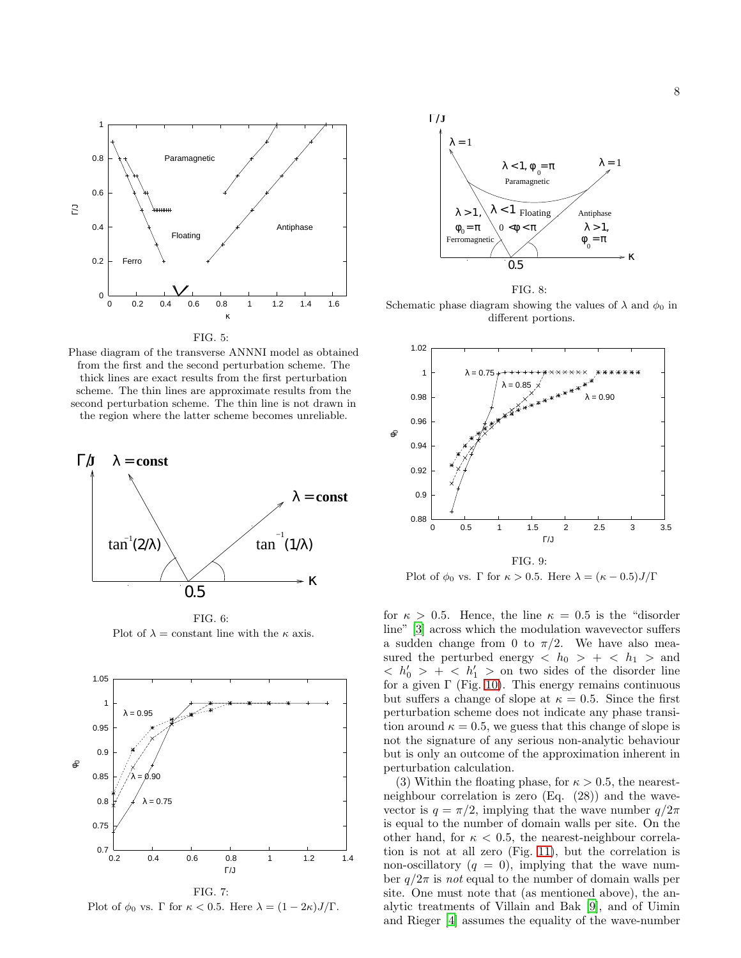

<span id="page-7-0"></span>FIG. 5:

Phase diagram of the transverse ANNNI model as obtained from the first and the second perturbation scheme. The thick lines are exact results from the first perturbation scheme. The thin lines are approximate results from the second perturbation scheme. The thin line is not drawn in the region where the latter scheme becomes unreliable.



<span id="page-7-1"></span>FIG. 6: Plot of  $\lambda =$  constant line with the  $\kappa$  axis.



<span id="page-7-2"></span>Plot of  $\phi_0$  vs.  $\Gamma$  for  $\kappa < 0.5$ . Here  $\lambda = (1 - 2\kappa) J/\Gamma$ .



<span id="page-7-3"></span>FIG. 8: Schematic phase diagram showing the values of  $\lambda$  and  $\phi_0$  in different portions.



<span id="page-7-4"></span>Plot of  $\phi_0$  vs.  $\Gamma$  for  $\kappa > 0.5$ . Here  $\lambda = (\kappa - 0.5) J/\Gamma$ 

for  $\kappa > 0.5$ . Hence, the line  $\kappa = 0.5$  is the "disorder" line" [\[3\]](#page-9-2) across which the modulation wavevector suffers a sudden change from 0 to  $\pi/2$ . We have also measured the perturbed energy  $\langle h_0 \rangle + \langle h_1 \rangle$  and  $\langle h'_0 \rangle + \langle h'_1 \rangle$  on two sides of the disorder line for a given  $\Gamma$  (Fig. [10\)](#page-8-0). This energy remains continuous but suffers a change of slope at  $\kappa = 0.5$ . Since the first perturbation scheme does not indicate any phase transition around  $\kappa = 0.5$ , we guess that this change of slope is not the signature of any serious non-analytic behaviour but is only an outcome of the approximation inherent in perturbation calculation.

(3) Within the floating phase, for  $\kappa > 0.5$ , the nearestneighbour correlation is zero (Eq. (28)) and the wavevector is  $q = \pi/2$ , implying that the wave number  $q/2\pi$ is equal to the number of domain walls per site. On the other hand, for  $\kappa < 0.5$ , the nearest-neighbour correlation is not at all zero (Fig. [11\)](#page-8-1), but the correlation is non-oscillatory  $(q = 0)$ , implying that the wave number  $q/2\pi$  is not equal to the number of domain walls per site. One must note that (as mentioned above), the analytic treatments of Villain and Bak [\[9](#page-10-3)], and of Uimin and Rieger [\[4\]](#page-9-3) assumes the equality of the wave-number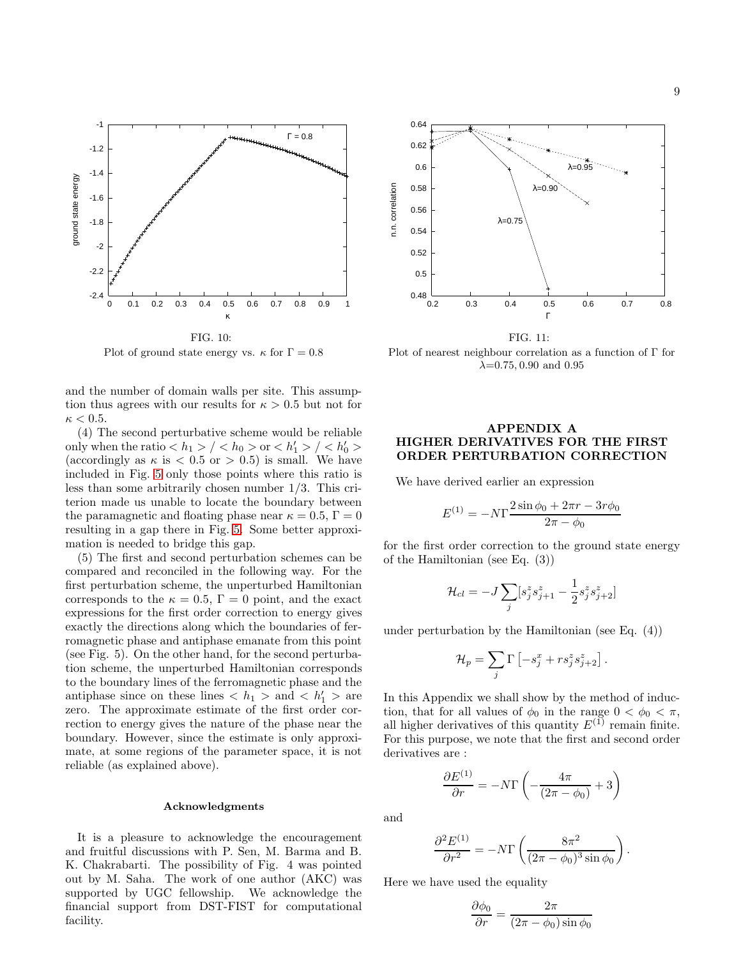

<span id="page-8-0"></span>Plot of ground state energy vs.  $\kappa$  for  $\Gamma = 0.8$ 

and the number of domain walls per site. This assumption thus agrees with our results for  $\kappa > 0.5$  but not for  $\kappa < 0.5$ .

(4) The second perturbative scheme would be reliable only when the ratio  $\langle h_1 \rangle / \langle h_0 \rangle$  or  $\langle h'_1 \rangle / \langle h'_0 \rangle$ (accordingly as  $\kappa$  is  $\lt 0.5$  or  $> 0.5$ ) is small. We have included in Fig. [5](#page-7-0) only those points where this ratio is less than some arbitrarily chosen number 1/3. This criterion made us unable to locate the boundary between the paramagnetic and floating phase near  $\kappa = 0.5, \Gamma = 0$ resulting in a gap there in Fig. [5.](#page-7-0) Some better approximation is needed to bridge this gap.

(5) The first and second perturbation schemes can be compared and reconciled in the following way. For the first perturbation scheme, the unperturbed Hamiltonian corresponds to the  $\kappa = 0.5$ ,  $\Gamma = 0$  point, and the exact expressions for the first order correction to energy gives exactly the directions along which the boundaries of ferromagnetic phase and antiphase emanate from this point (see Fig. 5). On the other hand, for the second perturbation scheme, the unperturbed Hamiltonian corresponds to the boundary lines of the ferromagnetic phase and the antiphase since on these lines  $\langle h_1 \rangle$  and  $\langle h_1' \rangle$  are zero. The approximate estimate of the first order correction to energy gives the nature of the phase near the boundary. However, since the estimate is only approximate, at some regions of the parameter space, it is not reliable (as explained above).

#### Acknowledgments

It is a pleasure to acknowledge the encouragement and fruitful discussions with P. Sen, M. Barma and B. K. Chakrabarti. The possibility of Fig. 4 was pointed out by M. Saha. The work of one author (AKC) was supported by UGC fellowship. We acknowledge the financial support from DST-FIST for computational facility.



<span id="page-8-1"></span>FIG. 11:

Plot of nearest neighbour correlation as a function of Γ for  $\lambda$ =0.75, 0.90 and 0.95

# APPENDIX A HIGHER DERIVATIVES FOR THE FIRST ORDER PERTURBATION CORRECTION

We have derived earlier an expression

$$
E^{(1)} = -N\Gamma \frac{2\sin\phi_0 + 2\pi r - 3r\phi_0}{2\pi - \phi_0}
$$

for the first order correction to the ground state energy of the Hamiltonian (see Eq. (3))

$$
\mathcal{H}_{cl} = -J \sum_{j} [s_j^z s_{j+1}^z - \frac{1}{2} s_j^z s_{j+2}^z]
$$

under perturbation by the Hamiltonian (see Eq. (4))

$$
\mathcal{H}_p = \sum_j \Gamma\left[-s_j^x + r s_j^z s_{j+2}^z\right].
$$

In this Appendix we shall show by the method of induction, that for all values of  $\phi_0$  in the range  $0 < \phi_0 < \pi$ , all higher derivatives of this quantity  $E^{(1)}$  remain finite. For this purpose, we note that the first and second order derivatives are :

$$
\frac{\partial E^{(1)}}{\partial r} = -N\Gamma\left(-\frac{4\pi}{(2\pi - \phi_0)} + 3\right)
$$

and

$$
\frac{\partial^2 E^{(1)}}{\partial r^2} = -N\Gamma \left( \frac{8\pi^2}{(2\pi - \phi_0)^3 \sin \phi_0} \right)
$$

.

Here we have used the equality

$$
\frac{\partial \phi_0}{\partial r} = \frac{2\pi}{(2\pi - \phi_0)\sin \phi_0}
$$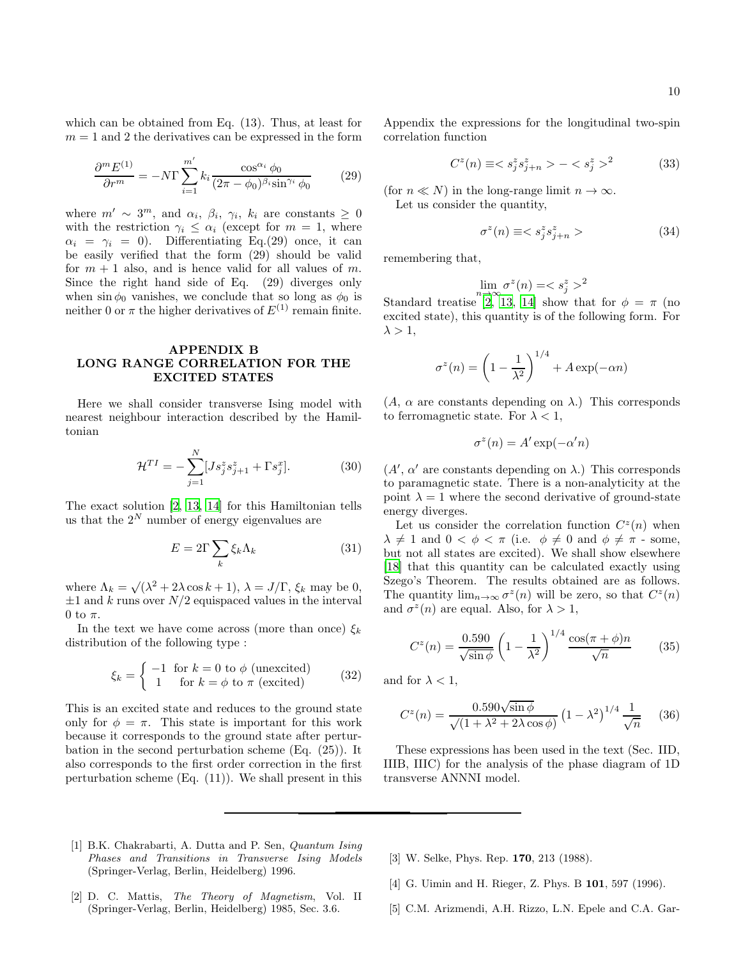which can be obtained from Eq. (13). Thus, at least for  $m = 1$  and 2 the derivatives can be expressed in the form

$$
\frac{\partial^m E^{(1)}}{\partial r^m} = -N \Gamma \sum_{i=1}^{m'} k_i \frac{\cos^{\alpha_i} \phi_0}{(2\pi - \phi_0)^{\beta_i} \sin^{\gamma_i} \phi_0} \tag{29}
$$

where  $m' \sim 3^m$ , and  $\alpha_i$ ,  $\beta_i$ ,  $\gamma_i$ ,  $k_i$  are constants  $\geq 0$ with the restriction  $\gamma_i \leq \alpha_i$  (except for  $m = 1$ , where  $\alpha_i = \gamma_i = 0$ ). Differentiating Eq.(29) once, it can be easily verified that the form (29) should be valid for  $m + 1$  also, and is hence valid for all values of m. Since the right hand side of Eq. (29) diverges only when  $\sin \phi_0$  vanishes, we conclude that so long as  $\phi_0$  is neither 0 or  $\pi$  the higher derivatives of  $E^{(1)}$  remain finite.

# APPENDIX B LONG RANGE CORRELATION FOR THE EXCITED STATES

Here we shall consider transverse Ising model with nearest neighbour interaction described by the Hamiltonian

$$
\mathcal{H}^{TI} = -\sum_{j=1}^{N} [Js_j^z s_{j+1}^z + \Gamma s_j^x].
$$
 (30)

The exact solution [\[2,](#page-9-1) [13,](#page-10-7) [14](#page-10-8)] for this Hamiltonian tells us that the  $2^N$  number of energy eigenvalues are

$$
E = 2\Gamma \sum_{k} \xi_{k} \Lambda_{k} \tag{31}
$$

where  $\Lambda_k = \sqrt{(\lambda^2 + 2\lambda \cos k + 1)}, \lambda = J/\Gamma, \xi_k$  may be 0,  $\pm 1$  and k runs over  $N/2$  equispaced values in the interval 0 to  $\pi$ .

In the text we have come across (more than once)  $\xi_k$ distribution of the following type :

$$
\xi_k = \begin{cases}\n-1 & \text{for } k = 0 \text{ to } \phi \text{ (unexcited)} \\
1 & \text{for } k = \phi \text{ to } \pi \text{ (excited)}\n\end{cases}
$$
\n(32)

This is an excited state and reduces to the ground state only for  $\phi = \pi$ . This state is important for this work because it corresponds to the ground state after perturbation in the second perturbation scheme (Eq. (25)). It also corresponds to the first order correction in the first perturbation scheme (Eq. (11)). We shall present in this Appendix the expressions for the longitudinal two-spin correlation function

$$
C^{z}(n) \equiv \langle s_j^{z} s_{j+n}^{z} \rangle - \langle s_j^{z} \rangle^{2}
$$
 (33)

(for  $n \ll N$ ) in the long-range limit  $n \to \infty$ . Let us consider the quantity,

$$
\sigma^z(n) \equiv  \hspace{1.5cm} (34)
$$

remembering that,

$$
\lim_{n \to \infty} \sigma^z(n) = \langle s_j^z \rangle^2
$$

Standard treatise [\[2,](#page-9-1) [13,](#page-10-7) [14](#page-10-8)] show that for  $\phi = \pi$  (no excited state), this quantity is of the following form. For  $\lambda > 1$ ,

$$
\sigma^z(n) = \left(1 - \frac{1}{\lambda^2}\right)^{1/4} + A \exp(-\alpha n)
$$

 $(A, \alpha \text{ are constants depending on } \lambda)$ . This corresponds to ferromagnetic state. For  $\lambda < 1$ ,

$$
\sigma^z(n) = A' \exp(-\alpha' n)
$$

 $(A', \alpha'$  are constants depending on  $\lambda$ .) This corresponds to paramagnetic state. There is a non-analyticity at the point  $\lambda = 1$  where the second derivative of ground-state energy diverges.

Let us consider the correlation function  $C^z(n)$  when  $\lambda \neq 1$  and  $0 < \phi < \pi$  (i.e.  $\phi \neq 0$  and  $\phi \neq \pi$  - some, but not all states are excited). We shall show elsewhere [\[18\]](#page-10-12) that this quantity can be calculated exactly using Szego's Theorem. The results obtained are as follows. The quantity  $\lim_{n\to\infty} \sigma^z(n)$  will be zero, so that  $C^z(n)$ and  $\sigma^z(n)$  are equal. Also, for  $\lambda > 1$ ,

$$
C^{z}(n) = \frac{0.590}{\sqrt{\sin \phi}} \left( 1 - \frac{1}{\lambda^{2}} \right)^{1/4} \frac{\cos(\pi + \phi)n}{\sqrt{n}} \tag{35}
$$

and for  $\lambda < 1$ ,

$$
C^{z}(n) = \frac{0.590\sqrt{\sin\phi}}{\sqrt{(1+\lambda^2+2\lambda\cos\phi)}} \left(1-\lambda^2\right)^{1/4} \frac{1}{\sqrt{n}} \quad (36)
$$

These expressions has been used in the text (Sec. IID, IIIB, IIIC) for the analysis of the phase diagram of 1D transverse ANNNI model.

- <span id="page-9-0"></span>[1] B.K. Chakrabarti, A. Dutta and P. Sen, Quantum Ising Phases and Transitions in Transverse Ising Models (Springer-Verlag, Berlin, Heidelberg) 1996.
- <span id="page-9-1"></span>[2] D. C. Mattis, The Theory of Magnetism, Vol. II (Springer-Verlag, Berlin, Heidelberg) 1985, Sec. 3.6.
- <span id="page-9-2"></span>[3] W. Selke, Phys. Rep. 170, 213 (1988).
- <span id="page-9-3"></span>[4] G. Uimin and H. Rieger, Z. Phys. B 101, 597 (1996).
- <span id="page-9-4"></span>[5] C.M. Arizmendi, A.H. Rizzo, L.N. Epele and C.A. Gar-